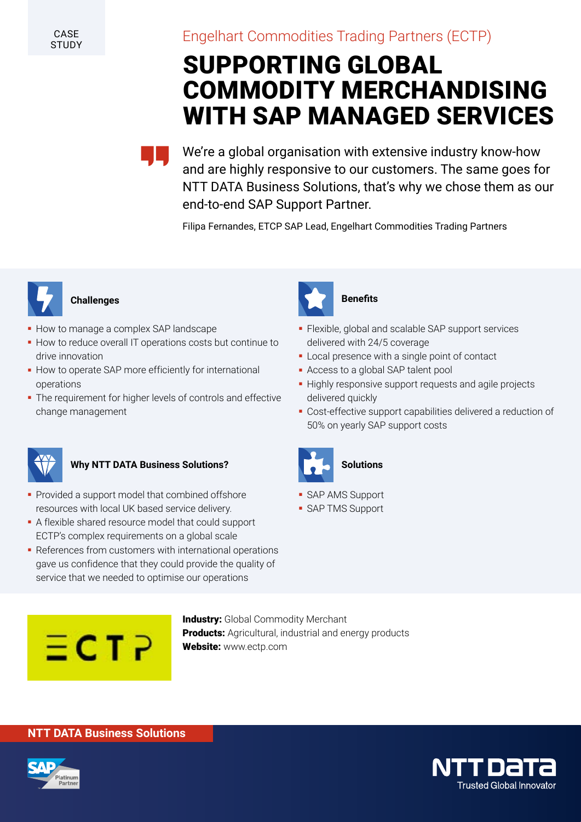**CASE STUDY** 

## Engelhart Commodities Trading Partners (ECTP)

# SUPPORTING GLOBAL COMMODITY MERCHANDISING WITH SAP MANAGED SERVICES

We're a global organisation with extensive industry know-how and are highly responsive to our customers. The same goes for NTT DATA Business Solutions, that's why we chose them as our end-to-end SAP Support Partner.

Filipa Fernandes, ETCP SAP Lead, Engelhart Commodities Trading Partners



### **Challenges**

- **How to manage a complex SAP landscape**
- How to reduce overall IT operations costs but continue to drive innovation
- How to operate SAP more efficiently for international operations
- The requirement for higher levels of controls and effective change management



#### **Why NTT DATA Business Solutions?**

- Provided a support model that combined offshore resources with local UK based service delivery.
- A flexible shared resource model that could support ECTP's complex requirements on a global scale
- References from customers with international operations gave us confidence that they could provide the quality of service that we needed to optimise our operations



#### **Benefits**

- Flexible, global and scalable SAP support services delivered with 24/5 coverage
- Local presence with a single point of contact
- Access to a global SAP talent pool
- Highly responsive support requests and agile projects delivered quickly
- Cost-effective support capabilities delivered a reduction of 50% on yearly SAP support costs



- **SAP AMS Support**
- SAP TMS Support



**Industry:** Global Commodity Merchant Products: Agricultural, industrial and energy products Website: www.ectp.com

#### **NTT DATA Business Solutions**